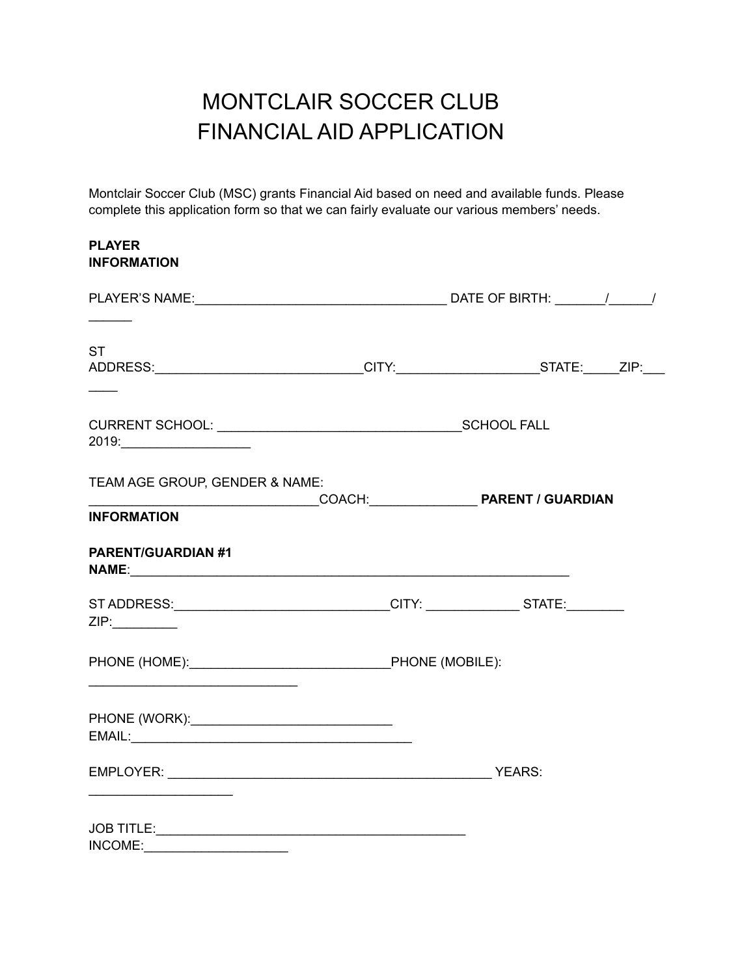## MONTCLAIR SOCCER CLUB FINANCIAL AID APPLICATION

Montclair Soccer Club (MSC) grants Financial Aid based on need and available funds. Please complete this application form so that we can fairly evaluate our various members' needs.

| <b>PLAYER</b><br><b>INFORMATION</b>                                                               |                          |
|---------------------------------------------------------------------------------------------------|--------------------------|
|                                                                                                   |                          |
| <b>ST</b><br>ADDRESS:______________________________CITY:_______________________STATE:_____ZIP:___ |                          |
|                                                                                                   |                          |
| TEAM AGE GROUP, GENDER & NAME:<br><b>INFORMATION</b>                                              | COACH: PARENT / GUARDIAN |
| <b>PARENT/GUARDIAN #1</b>                                                                         |                          |
| ST ADDRESS:________________________________CITY: _________________STATE:________<br>ZIP:          |                          |
|                                                                                                   |                          |
|                                                                                                   |                          |
| the control of the control of the control of the control of                                       |                          |
| INCOME:                                                                                           |                          |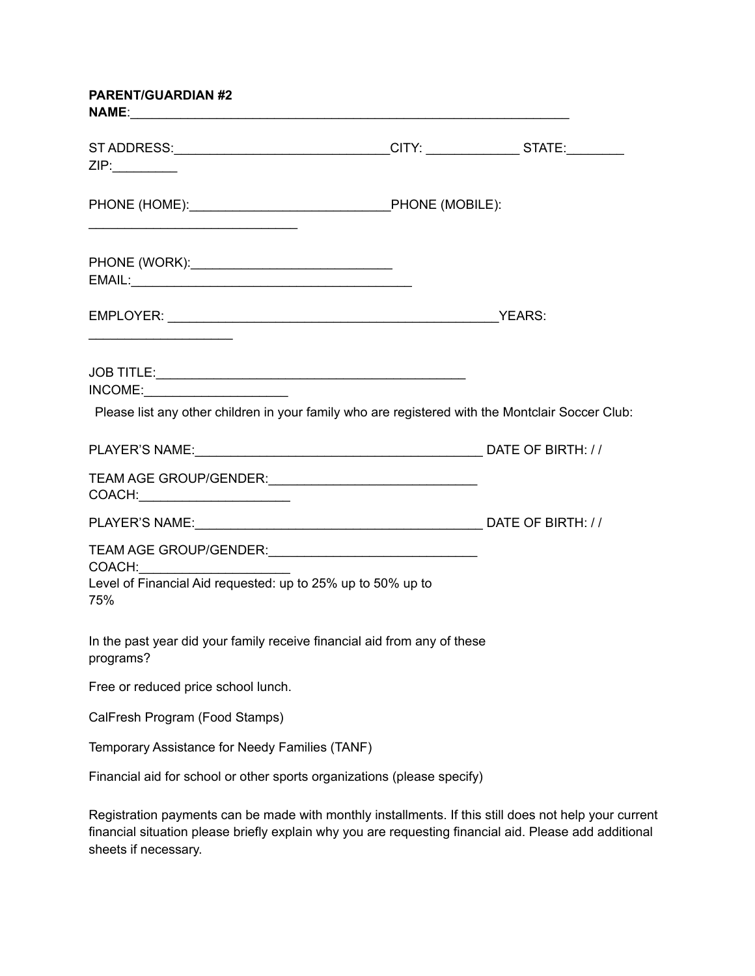| <b>PARENT/GUARDIAN #2</b>                                                                                             |  |  |
|-----------------------------------------------------------------------------------------------------------------------|--|--|
| ST ADDRESS:_________________________________CITY: _________________STATE:________<br>ZIP:                             |  |  |
| PHONE (HOME): PHONE (MOBILE):                                                                                         |  |  |
|                                                                                                                       |  |  |
| <u> 1989 - Johann Harry Harry Harry Harry Harry Harry Harry Harry Harry Harry Harry Harry Harry Harry Harry Harry</u> |  |  |
| INCOME:<br>Please list any other children in your family who are registered with the Montclair Soccer Club:           |  |  |
|                                                                                                                       |  |  |
| COACH:_________________________                                                                                       |  |  |
|                                                                                                                       |  |  |
| COACH: <u>___________</u><br>Level of Financial Aid requested: up to 25% up to 50% up to<br>75%                       |  |  |
| In the past year did your family receive financial aid from any of these<br>programs?                                 |  |  |
| Free or reduced price school lunch.                                                                                   |  |  |
| CalFresh Program (Food Stamps)                                                                                        |  |  |
| Temporary Assistance for Needy Families (TANF)                                                                        |  |  |
| Financial aid for school or other sports organizations (please specify)                                               |  |  |
| Registration payments can be made with monthly installments. If this still does not help your current                 |  |  |

financial situation please briefly explain why you are requesting financial aid. Please add additional sheets if necessary.